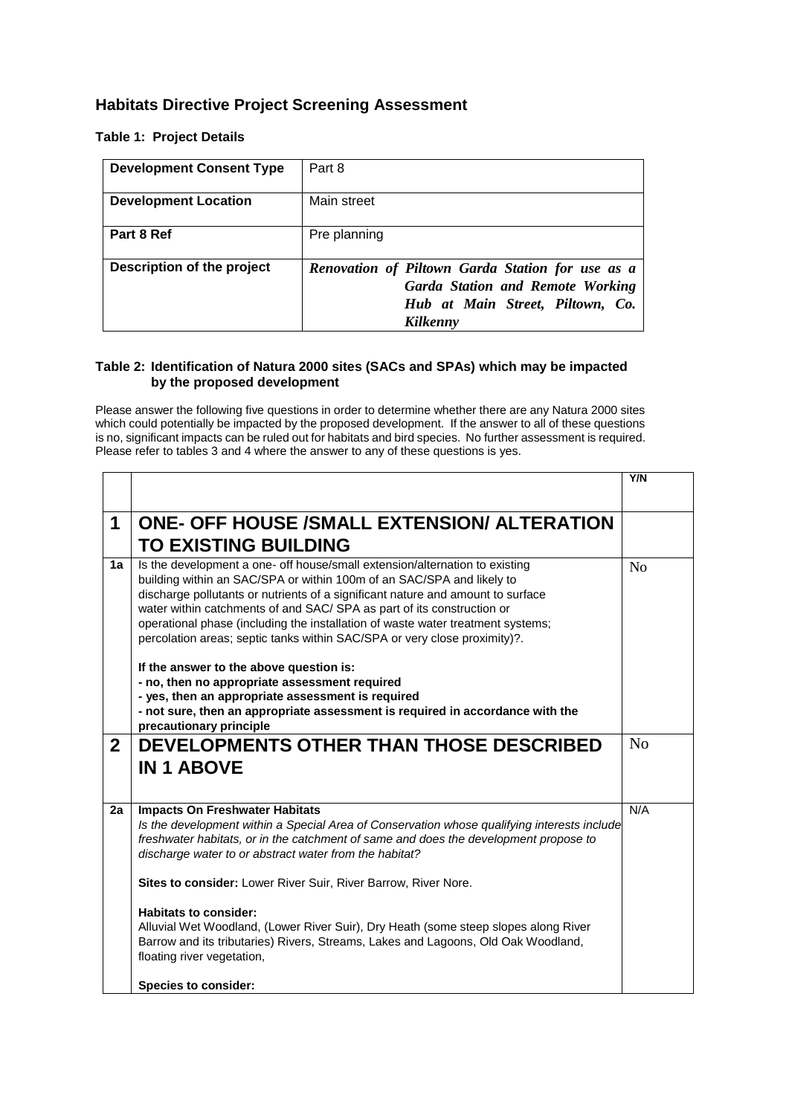## **Habitats Directive Project Screening Assessment**

## **Table 1: Project Details**

| <b>Development Consent Type</b> | Part 8                                                                                                                                      |
|---------------------------------|---------------------------------------------------------------------------------------------------------------------------------------------|
| <b>Development Location</b>     | Main street                                                                                                                                 |
| Part 8 Ref                      | Pre planning                                                                                                                                |
| Description of the project      | Renovation of Piltown Garda Station for use as a<br><b>Garda Station and Remote Working</b><br>Hub at Main Street, Piltown, Co.<br>Kilkenny |

## **Table 2: Identification of Natura 2000 sites (SACs and SPAs) which may be impacted by the proposed development**

Please answer the following five questions in order to determine whether there are any Natura 2000 sites which could potentially be impacted by the proposed development. If the answer to all of these questions is no, significant impacts can be ruled out for habitats and bird species. No further assessment is required. Please refer to tables 3 and 4 where the answer to any of these questions is yes.

|                |                                                                                                                                                                                                                                                                                                                                                                                                                                                                                                                              | Y/N            |
|----------------|------------------------------------------------------------------------------------------------------------------------------------------------------------------------------------------------------------------------------------------------------------------------------------------------------------------------------------------------------------------------------------------------------------------------------------------------------------------------------------------------------------------------------|----------------|
| 1              | <b>ONE- OFF HOUSE /SMALL EXTENSION/ ALTERATION</b><br><b>TO EXISTING BUILDING</b>                                                                                                                                                                                                                                                                                                                                                                                                                                            |                |
| 1a             | Is the development a one- off house/small extension/alternation to existing<br>building within an SAC/SPA or within 100m of an SAC/SPA and likely to<br>discharge pollutants or nutrients of a significant nature and amount to surface<br>water within catchments of and SAC/ SPA as part of its construction or<br>operational phase (including the installation of waste water treatment systems;<br>percolation areas; septic tanks within SAC/SPA or very close proximity)?.<br>If the answer to the above question is: | N <sub>0</sub> |
|                | - no, then no appropriate assessment required                                                                                                                                                                                                                                                                                                                                                                                                                                                                                |                |
|                | - yes, then an appropriate assessment is required<br>- not sure, then an appropriate assessment is required in accordance with the                                                                                                                                                                                                                                                                                                                                                                                           |                |
|                | precautionary principle                                                                                                                                                                                                                                                                                                                                                                                                                                                                                                      |                |
| $\overline{2}$ | DEVELOPMENTS OTHER THAN THOSE DESCRIBED                                                                                                                                                                                                                                                                                                                                                                                                                                                                                      | N <sub>0</sub> |
|                | <b>IN 1 ABOVE</b>                                                                                                                                                                                                                                                                                                                                                                                                                                                                                                            |                |
|                |                                                                                                                                                                                                                                                                                                                                                                                                                                                                                                                              |                |
|                |                                                                                                                                                                                                                                                                                                                                                                                                                                                                                                                              |                |
| 2a             | <b>Impacts On Freshwater Habitats</b><br>Is the development within a Special Area of Conservation whose qualifying interests include<br>freshwater habitats, or in the catchment of same and does the development propose to<br>discharge water to or abstract water from the habitat?                                                                                                                                                                                                                                       | N/A            |
|                | Sites to consider: Lower River Suir, River Barrow, River Nore.                                                                                                                                                                                                                                                                                                                                                                                                                                                               |                |
|                | Habitats to consider:<br>Alluvial Wet Woodland, (Lower River Suir), Dry Heath (some steep slopes along River<br>Barrow and its tributaries) Rivers, Streams, Lakes and Lagoons, Old Oak Woodland,<br>floating river vegetation,                                                                                                                                                                                                                                                                                              |                |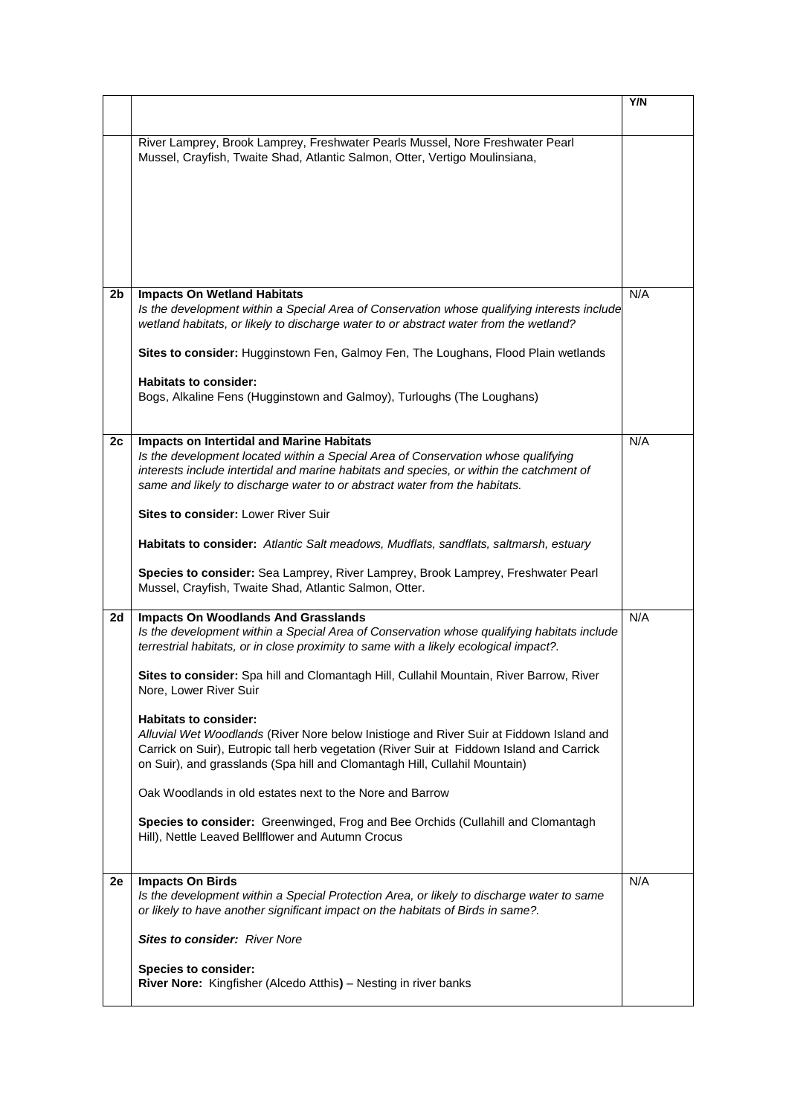|                |                                                                                                                                                                                                                                                                                                                 | Y/N |
|----------------|-----------------------------------------------------------------------------------------------------------------------------------------------------------------------------------------------------------------------------------------------------------------------------------------------------------------|-----|
|                |                                                                                                                                                                                                                                                                                                                 |     |
|                | River Lamprey, Brook Lamprey, Freshwater Pearls Mussel, Nore Freshwater Pearl<br>Mussel, Crayfish, Twaite Shad, Atlantic Salmon, Otter, Vertigo Moulinsiana,                                                                                                                                                    |     |
|                |                                                                                                                                                                                                                                                                                                                 |     |
|                |                                                                                                                                                                                                                                                                                                                 |     |
| 2 <sub>b</sub> | <b>Impacts On Wetland Habitats</b><br>Is the development within a Special Area of Conservation whose qualifying interests include<br>wetland habitats, or likely to discharge water to or abstract water from the wetland?                                                                                      | N/A |
|                | Sites to consider: Hugginstown Fen, Galmoy Fen, The Loughans, Flood Plain wetlands                                                                                                                                                                                                                              |     |
|                | <b>Habitats to consider:</b><br>Bogs, Alkaline Fens (Hugginstown and Galmoy), Turloughs (The Loughans)                                                                                                                                                                                                          |     |
| 2c             | <b>Impacts on Intertidal and Marine Habitats</b><br>Is the development located within a Special Area of Conservation whose qualifying<br>interests include intertidal and marine habitats and species, or within the catchment of<br>same and likely to discharge water to or abstract water from the habitats. | N/A |
|                | <b>Sites to consider: Lower River Suir</b>                                                                                                                                                                                                                                                                      |     |
|                | Habitats to consider: Atlantic Salt meadows, Mudflats, sandflats, saltmarsh, estuary                                                                                                                                                                                                                            |     |
|                | Species to consider: Sea Lamprey, River Lamprey, Brook Lamprey, Freshwater Pearl<br>Mussel, Crayfish, Twaite Shad, Atlantic Salmon, Otter.                                                                                                                                                                      |     |
| 2d             | <b>Impacts On Woodlands And Grasslands</b><br>Is the development within a Special Area of Conservation whose qualifying habitats include<br>terrestrial habitats, or in close proximity to same with a likely ecological impact?.                                                                               | N/A |
|                | Sites to consider: Spa hill and Clomantagh Hill, Cullahil Mountain, River Barrow, River<br>Nore, Lower River Suir                                                                                                                                                                                               |     |
|                | <b>Habitats to consider:</b><br>Alluvial Wet Woodlands (River Nore below Inistioge and River Suir at Fiddown Island and<br>Carrick on Suir), Eutropic tall herb vegetation (River Suir at Fiddown Island and Carrick<br>on Suir), and grasslands (Spa hill and Clomantagh Hill, Cullahil Mountain)              |     |
|                | Oak Woodlands in old estates next to the Nore and Barrow                                                                                                                                                                                                                                                        |     |
|                | Species to consider: Greenwinged, Frog and Bee Orchids (Cullahill and Clomantagh<br>Hill), Nettle Leaved Bellflower and Autumn Crocus                                                                                                                                                                           |     |
| 2е             |                                                                                                                                                                                                                                                                                                                 | N/A |
|                | <b>Impacts On Birds</b><br>Is the development within a Special Protection Area, or likely to discharge water to same<br>or likely to have another significant impact on the habitats of Birds in same?.                                                                                                         |     |
|                | <b>Sites to consider: River Nore</b>                                                                                                                                                                                                                                                                            |     |
|                | <b>Species to consider:</b><br>River Nore: Kingfisher (Alcedo Atthis) - Nesting in river banks                                                                                                                                                                                                                  |     |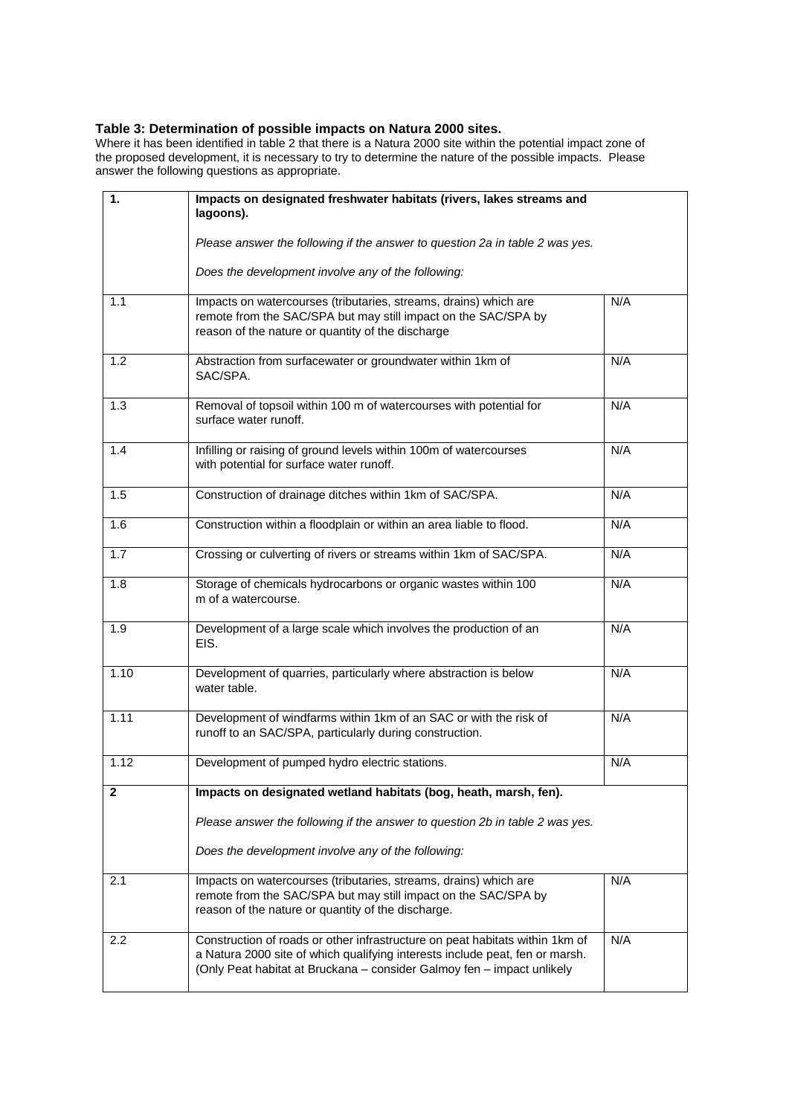#### **Table 3: Determination of possible impacts on Natura 2000 sites.**

Where it has been identified in table 2 that there is a Natura 2000 site within the potential impact zone of the proposed development, it is necessary to try to determine the nature of the possible impacts. Please answer the following questions as appropriate.

| 1.           | Impacts on designated freshwater habitats (rivers, lakes streams and<br>lagoons).                                                                                                                                                      |     |
|--------------|----------------------------------------------------------------------------------------------------------------------------------------------------------------------------------------------------------------------------------------|-----|
|              | Please answer the following if the answer to question 2a in table 2 was yes.                                                                                                                                                           |     |
|              | Does the development involve any of the following:                                                                                                                                                                                     |     |
| 1.1          | Impacts on watercourses (tributaries, streams, drains) which are<br>remote from the SAC/SPA but may still impact on the SAC/SPA by<br>reason of the nature or quantity of the discharge                                                | N/A |
| 1.2          | Abstraction from surfacewater or groundwater within 1km of<br>SAC/SPA.                                                                                                                                                                 | N/A |
| 1.3          | Removal of topsoil within 100 m of watercourses with potential for<br>surface water runoff.                                                                                                                                            | N/A |
| 1.4          | Infilling or raising of ground levels within 100m of watercourses<br>with potential for surface water runoff.                                                                                                                          | N/A |
| 1.5          | Construction of drainage ditches within 1km of SAC/SPA.                                                                                                                                                                                | N/A |
| 1.6          | Construction within a floodplain or within an area liable to flood.                                                                                                                                                                    | N/A |
| 1.7          | Crossing or culverting of rivers or streams within 1km of SAC/SPA.                                                                                                                                                                     | N/A |
| 1.8          | Storage of chemicals hydrocarbons or organic wastes within 100<br>m of a watercourse.                                                                                                                                                  | N/A |
| 1.9          | Development of a large scale which involves the production of an<br>EIS.                                                                                                                                                               | N/A |
| 1.10         | Development of quarries, particularly where abstraction is below<br>water table.                                                                                                                                                       | N/A |
| 1.11         | Development of windfarms within 1km of an SAC or with the risk of<br>runoff to an SAC/SPA, particularly during construction.                                                                                                           | N/A |
| 1.12         | Development of pumped hydro electric stations.                                                                                                                                                                                         | N/A |
| $\mathbf{2}$ | Impacts on designated wetland habitats (bog, heath, marsh, fen).                                                                                                                                                                       |     |
|              | Please answer the following if the answer to question 2b in table 2 was yes.                                                                                                                                                           |     |
|              | Does the development involve any of the following:                                                                                                                                                                                     |     |
| 2.1          | Impacts on watercourses (tributaries, streams, drains) which are<br>remote from the SAC/SPA but may still impact on the SAC/SPA by<br>reason of the nature or quantity of the discharge.                                               | N/A |
| 2.2          | Construction of roads or other infrastructure on peat habitats within 1km of<br>a Natura 2000 site of which qualifying interests include peat, fen or marsh.<br>(Only Peat habitat at Bruckana - consider Galmoy fen - impact unlikely | N/A |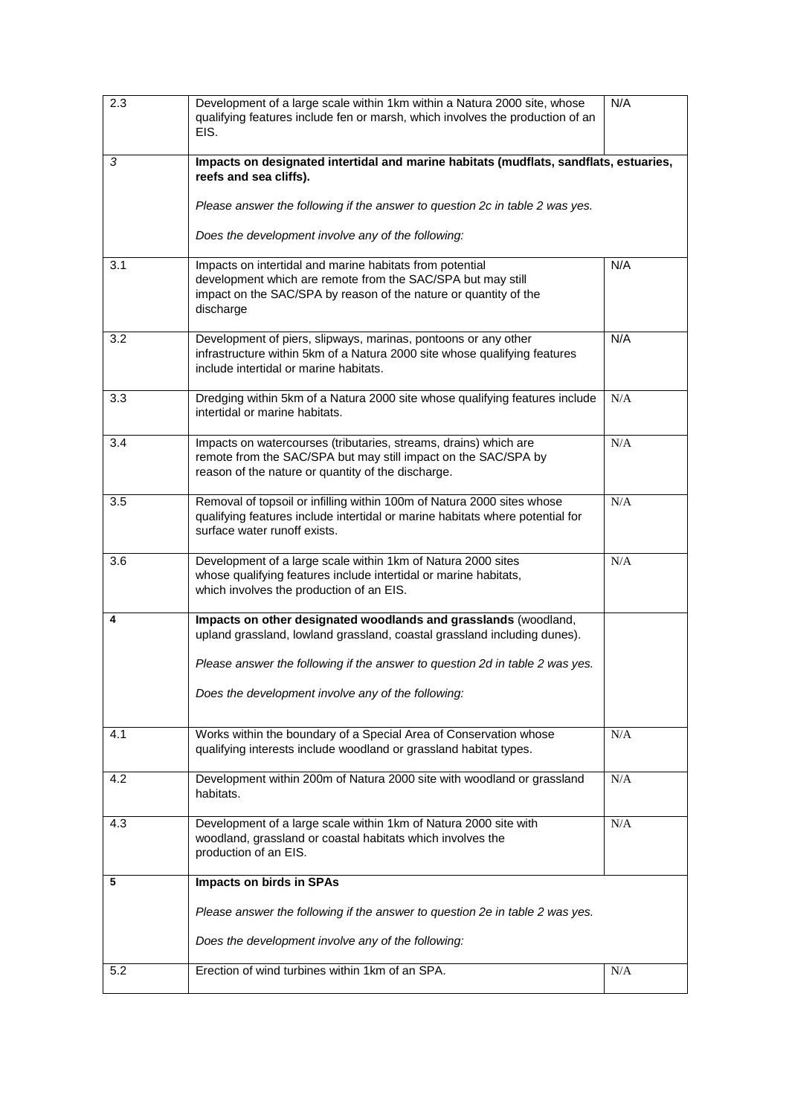| 2.3 | Development of a large scale within 1km within a Natura 2000 site, whose<br>qualifying features include fen or marsh, which involves the production of an<br>EIS.                                        | N/A |
|-----|----------------------------------------------------------------------------------------------------------------------------------------------------------------------------------------------------------|-----|
| 3   | Impacts on designated intertidal and marine habitats (mudflats, sandflats, estuaries,<br>reefs and sea cliffs).                                                                                          |     |
|     | Please answer the following if the answer to question 2c in table 2 was yes.<br>Does the development involve any of the following:                                                                       |     |
| 3.1 | Impacts on intertidal and marine habitats from potential<br>development which are remote from the SAC/SPA but may still<br>impact on the SAC/SPA by reason of the nature or quantity of the<br>discharge | N/A |
| 3.2 | Development of piers, slipways, marinas, pontoons or any other<br>infrastructure within 5km of a Natura 2000 site whose qualifying features<br>include intertidal or marine habitats.                    | N/A |
| 3.3 | Dredging within 5km of a Natura 2000 site whose qualifying features include<br>intertidal or marine habitats.                                                                                            | N/A |
| 3.4 | Impacts on watercourses (tributaries, streams, drains) which are<br>remote from the SAC/SPA but may still impact on the SAC/SPA by<br>reason of the nature or quantity of the discharge.                 | N/A |
| 3.5 | Removal of topsoil or infilling within 100m of Natura 2000 sites whose<br>qualifying features include intertidal or marine habitats where potential for<br>surface water runoff exists.                  | N/A |
| 3.6 | Development of a large scale within 1km of Natura 2000 sites<br>whose qualifying features include intertidal or marine habitats,<br>which involves the production of an EIS.                             | N/A |
| 4   | Impacts on other designated woodlands and grasslands (woodland,<br>upland grassland, lowland grassland, coastal grassland including dunes).                                                              |     |
|     | Please answer the following if the answer to question 2d in table 2 was yes.<br>Does the development involve any of the following:                                                                       |     |
|     |                                                                                                                                                                                                          |     |
| 4.1 | Works within the boundary of a Special Area of Conservation whose<br>qualifying interests include woodland or grassland habitat types.                                                                   | N/A |
| 4.2 | Development within 200m of Natura 2000 site with woodland or grassland<br>habitats.                                                                                                                      | N/A |
| 4.3 | Development of a large scale within 1km of Natura 2000 site with<br>woodland, grassland or coastal habitats which involves the<br>production of an EIS.                                                  | N/A |
| 5   | Impacts on birds in SPAs                                                                                                                                                                                 |     |
|     | Please answer the following if the answer to question 2e in table 2 was yes.                                                                                                                             |     |
|     | Does the development involve any of the following:                                                                                                                                                       |     |
| 5.2 | Erection of wind turbines within 1km of an SPA.                                                                                                                                                          | N/A |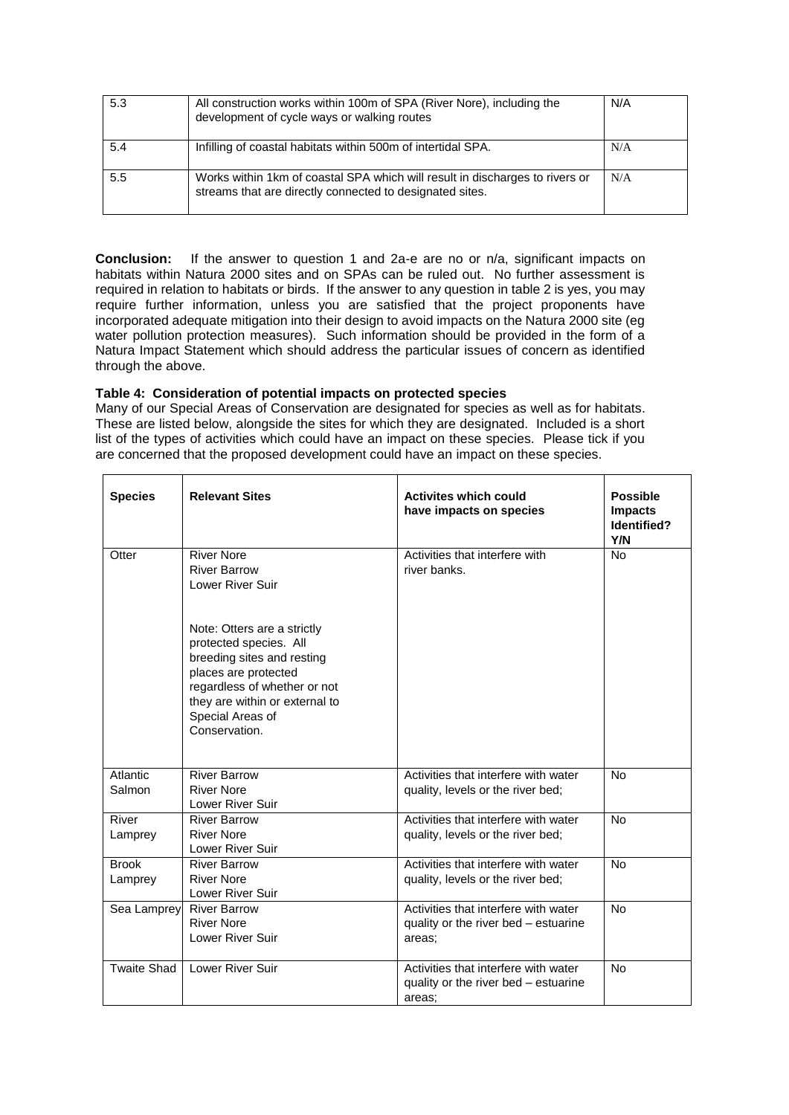| 5.3 | All construction works within 100m of SPA (River Nore), including the<br>development of cycle ways or walking routes                     | N/A |
|-----|------------------------------------------------------------------------------------------------------------------------------------------|-----|
| 5.4 | Infilling of coastal habitats within 500m of intertidal SPA.                                                                             | N/A |
| 5.5 | Works within 1km of coastal SPA which will result in discharges to rivers or<br>streams that are directly connected to designated sites. | N/A |

**Conclusion:** If the answer to question 1 and 2a-e are no or n/a, significant impacts on habitats within Natura 2000 sites and on SPAs can be ruled out. No further assessment is required in relation to habitats or birds. If the answer to any question in table 2 is yes, you may require further information, unless you are satisfied that the project proponents have incorporated adequate mitigation into their design to avoid impacts on the Natura 2000 site (eg water pollution protection measures). Such information should be provided in the form of a Natura Impact Statement which should address the particular issues of concern as identified through the above.

## **Table 4: Consideration of potential impacts on protected species**

Many of our Special Areas of Conservation are designated for species as well as for habitats. These are listed below, alongside the sites for which they are designated. Included is a short list of the types of activities which could have an impact on these species. Please tick if you are concerned that the proposed development could have an impact on these species.

| <b>Species</b>          | <b>Relevant Sites</b>                                                                                                                                                                                                                                                                     | <b>Activites which could</b><br>have impacts on species                                | <b>Possible</b><br><b>Impacts</b><br>Identified?<br>Y/N |
|-------------------------|-------------------------------------------------------------------------------------------------------------------------------------------------------------------------------------------------------------------------------------------------------------------------------------------|----------------------------------------------------------------------------------------|---------------------------------------------------------|
| Otter                   | <b>River Nore</b><br><b>River Barrow</b><br><b>Lower River Suir</b><br>Note: Otters are a strictly<br>protected species. All<br>breeding sites and resting<br>places are protected<br>regardless of whether or not<br>they are within or external to<br>Special Areas of<br>Conservation. | Activities that interfere with<br>river banks.                                         | <b>No</b>                                               |
| Atlantic<br>Salmon      | <b>River Barrow</b><br><b>River Nore</b><br>Lower River Suir                                                                                                                                                                                                                              | Activities that interfere with water<br>quality, levels or the river bed;              | <b>No</b>                                               |
| River<br>Lamprey        | <b>River Barrow</b><br><b>River Nore</b><br><b>Lower River Suir</b>                                                                                                                                                                                                                       | Activities that interfere with water<br>quality, levels or the river bed;              | <b>No</b>                                               |
| <b>Brook</b><br>Lamprey | <b>River Barrow</b><br><b>River Nore</b><br>Lower River Suir                                                                                                                                                                                                                              | Activities that interfere with water<br>quality, levels or the river bed;              | <b>No</b>                                               |
|                         | Sea Lamprey River Barrow<br>River Nore<br>Lower River Suir                                                                                                                                                                                                                                | Activities that interfere with water<br>quality or the river bed - estuarine<br>areas: | <b>No</b>                                               |
| Twaite Shad             | <b>Lower River Suir</b>                                                                                                                                                                                                                                                                   | Activities that interfere with water<br>quality or the river bed – estuarine<br>areas: | <b>No</b>                                               |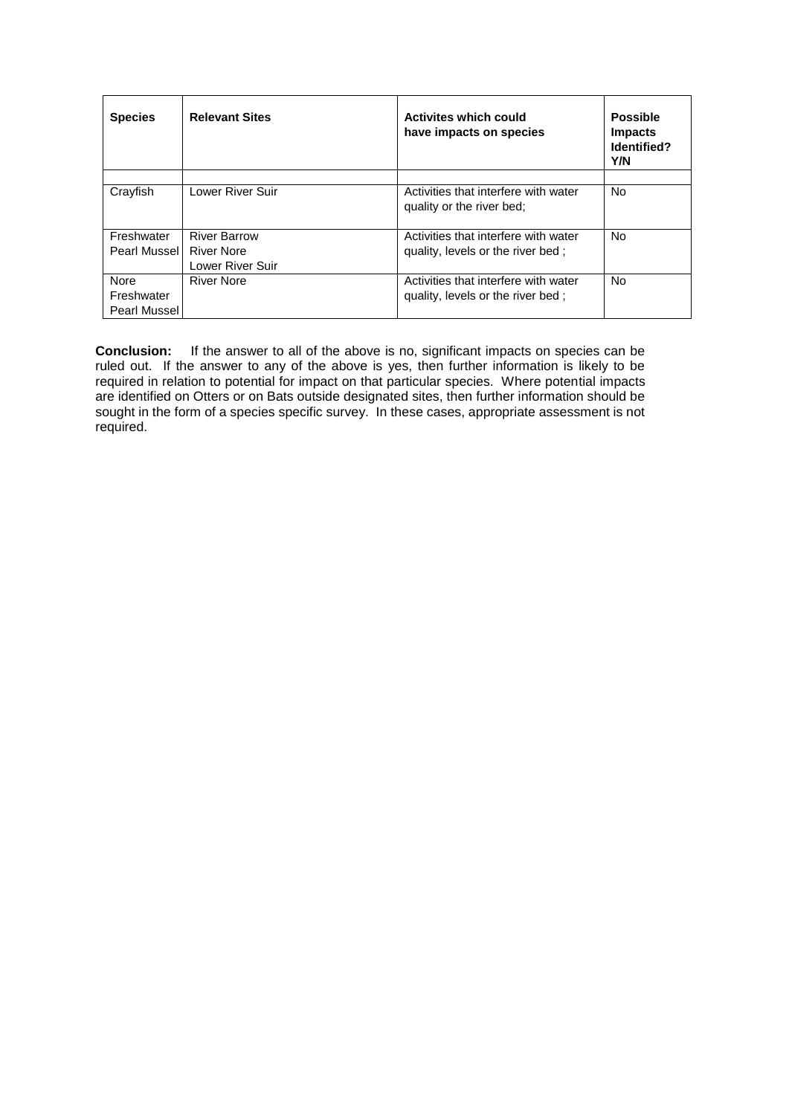| <b>Species</b>                     | <b>Relevant Sites</b>                                 | <b>Activites which could</b><br>have impacts on species                   | <b>Possible</b><br><b>Impacts</b><br>Identified?<br>Y/N |
|------------------------------------|-------------------------------------------------------|---------------------------------------------------------------------------|---------------------------------------------------------|
| Crayfish                           | Lower River Suir                                      | Activities that interfere with water<br>quality or the river bed;         | No.                                                     |
| Freshwater<br>Pearl Mussel         | <b>River Barrow</b><br>River Nore<br>Lower River Suir | Activities that interfere with water<br>quality, levels or the river bed; | No.                                                     |
| Nore<br>Freshwater<br>Pearl Mussel | <b>River Nore</b>                                     | Activities that interfere with water<br>quality, levels or the river bed; | No.                                                     |

**Conclusion:** If the answer to all of the above is no, significant impacts on species can be ruled out. If the answer to any of the above is yes, then further information is likely to be required in relation to potential for impact on that particular species. Where potential impacts are identified on Otters or on Bats outside designated sites, then further information should be sought in the form of a species specific survey. In these cases, appropriate assessment is not required.